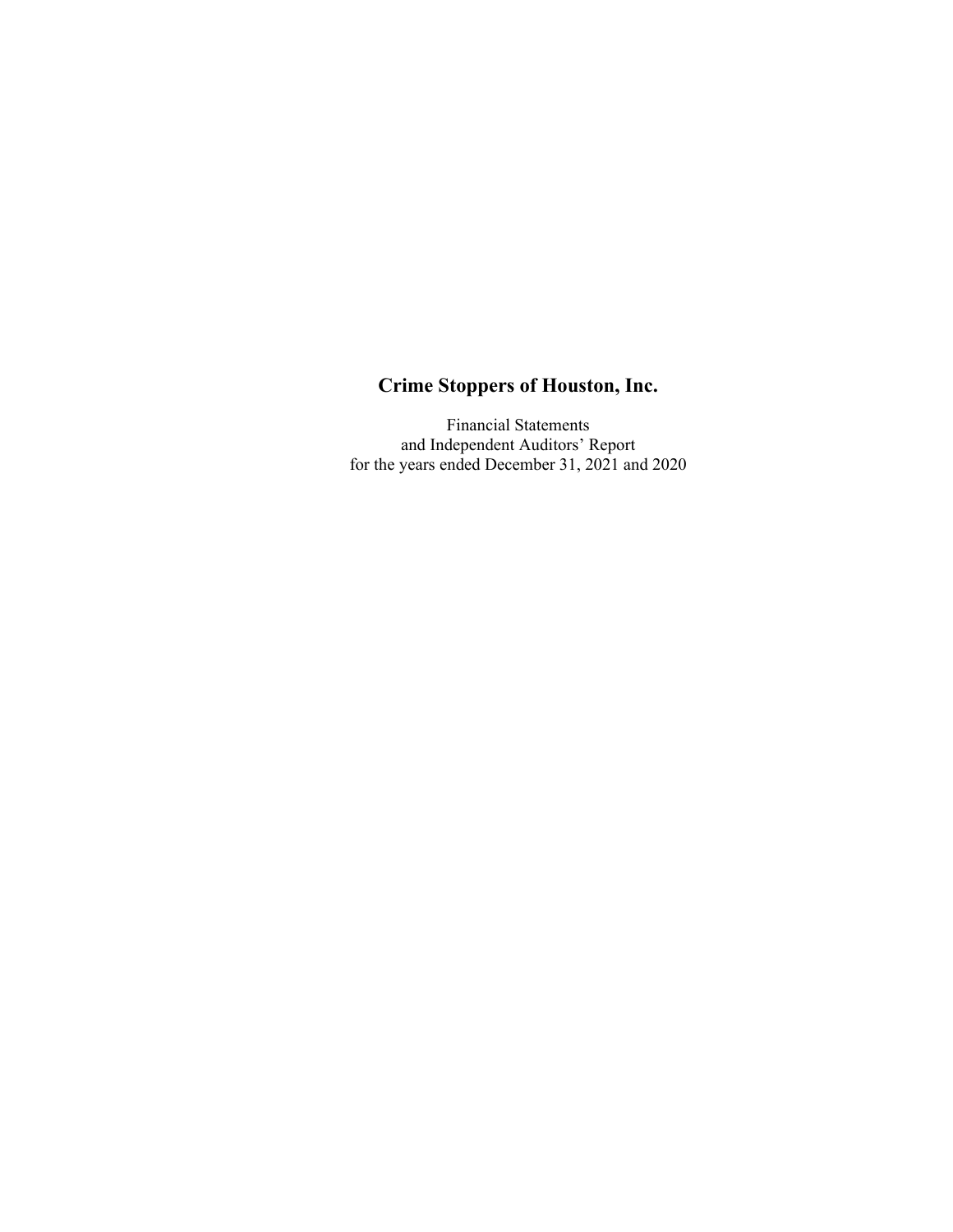Financial Statements and Independent Auditors' Report for the years ended December 31, 2021 and 2020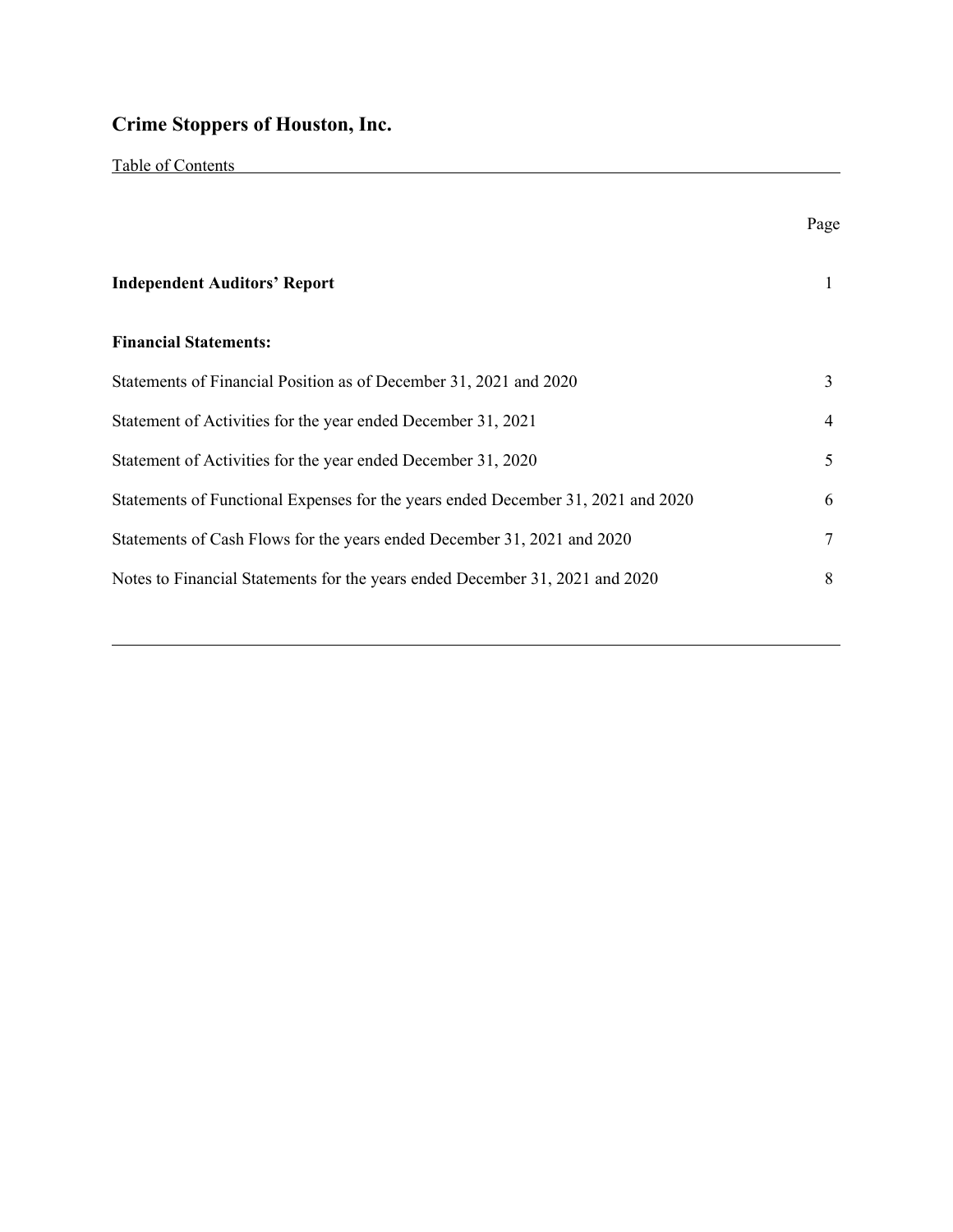|                                                                                  | Page |
|----------------------------------------------------------------------------------|------|
| <b>Independent Auditors' Report</b>                                              |      |
| <b>Financial Statements:</b>                                                     |      |
| Statements of Financial Position as of December 31, 2021 and 2020                | 3    |
| Statement of Activities for the year ended December 31, 2021                     | 4    |
| Statement of Activities for the year ended December 31, 2020                     | 5    |
| Statements of Functional Expenses for the years ended December 31, 2021 and 2020 | 6    |
| Statements of Cash Flows for the years ended December 31, 2021 and 2020          | 7    |
| Notes to Financial Statements for the years ended December 31, 2021 and 2020     | 8    |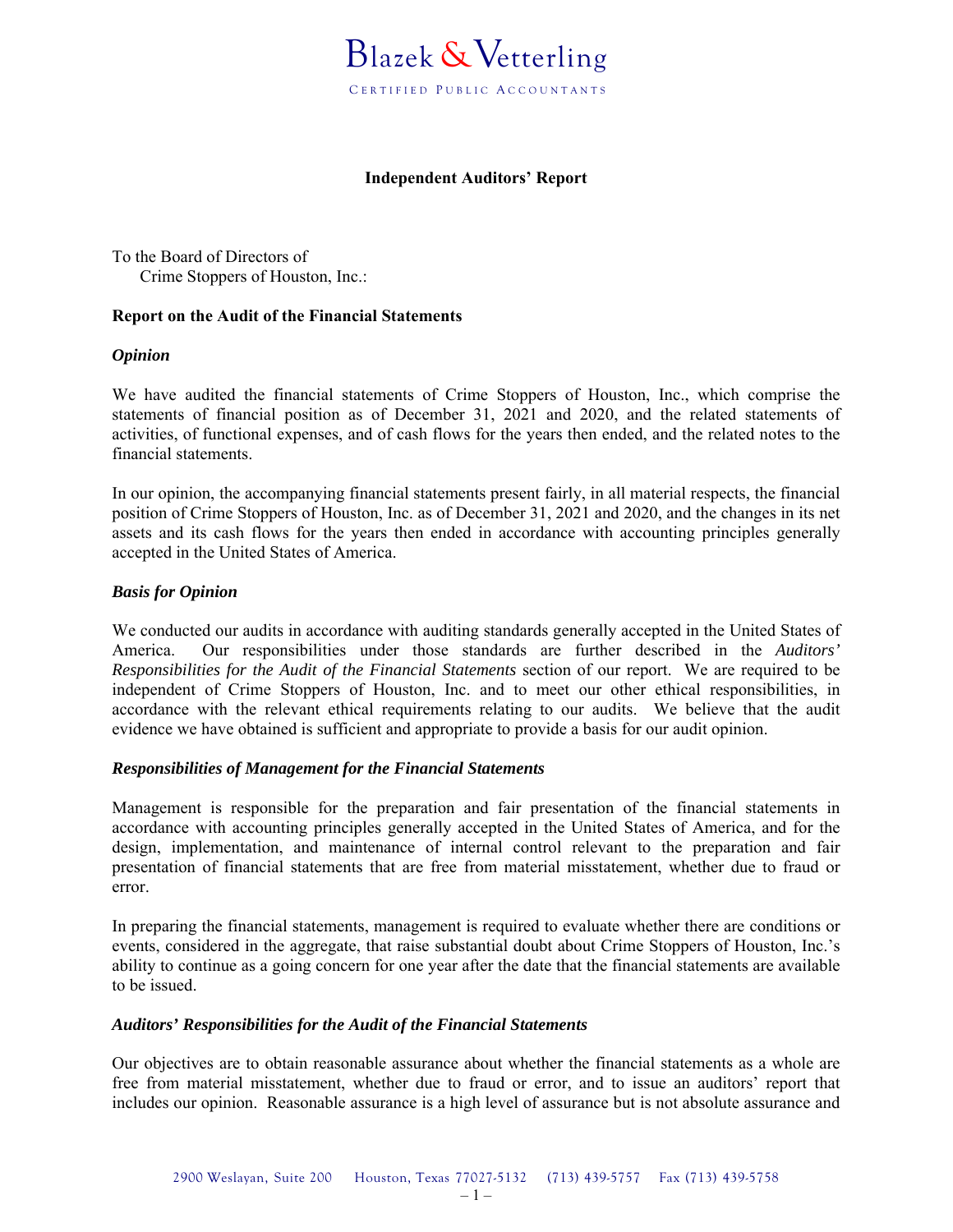

#### **Independent Auditors' Report**

To the Board of Directors of Crime Stoppers of Houston, Inc.:

#### **Report on the Audit of the Financial Statements**

#### *Opinion*

We have audited the financial statements of Crime Stoppers of Houston, Inc., which comprise the statements of financial position as of December 31, 2021 and 2020, and the related statements of activities, of functional expenses, and of cash flows for the years then ended, and the related notes to the financial statements.

In our opinion, the accompanying financial statements present fairly, in all material respects, the financial position of Crime Stoppers of Houston, Inc. as of December 31, 2021 and 2020, and the changes in its net assets and its cash flows for the years then ended in accordance with accounting principles generally accepted in the United States of America.

### *Basis for Opinion*

We conducted our audits in accordance with auditing standards generally accepted in the United States of America. Our responsibilities under those standards are further described in the *Auditors' Responsibilities for the Audit of the Financial Statements* section of our report. We are required to be independent of Crime Stoppers of Houston, Inc. and to meet our other ethical responsibilities, in accordance with the relevant ethical requirements relating to our audits. We believe that the audit evidence we have obtained is sufficient and appropriate to provide a basis for our audit opinion.

#### *Responsibilities of Management for the Financial Statements*

Management is responsible for the preparation and fair presentation of the financial statements in accordance with accounting principles generally accepted in the United States of America, and for the design, implementation, and maintenance of internal control relevant to the preparation and fair presentation of financial statements that are free from material misstatement, whether due to fraud or error.

In preparing the financial statements, management is required to evaluate whether there are conditions or events, considered in the aggregate, that raise substantial doubt about Crime Stoppers of Houston, Inc.'s ability to continue as a going concern for one year after the date that the financial statements are available to be issued.

#### *Auditors' Responsibilities for the Audit of the Financial Statements*

Our objectives are to obtain reasonable assurance about whether the financial statements as a whole are free from material misstatement, whether due to fraud or error, and to issue an auditors' report that includes our opinion. Reasonable assurance is a high level of assurance but is not absolute assurance and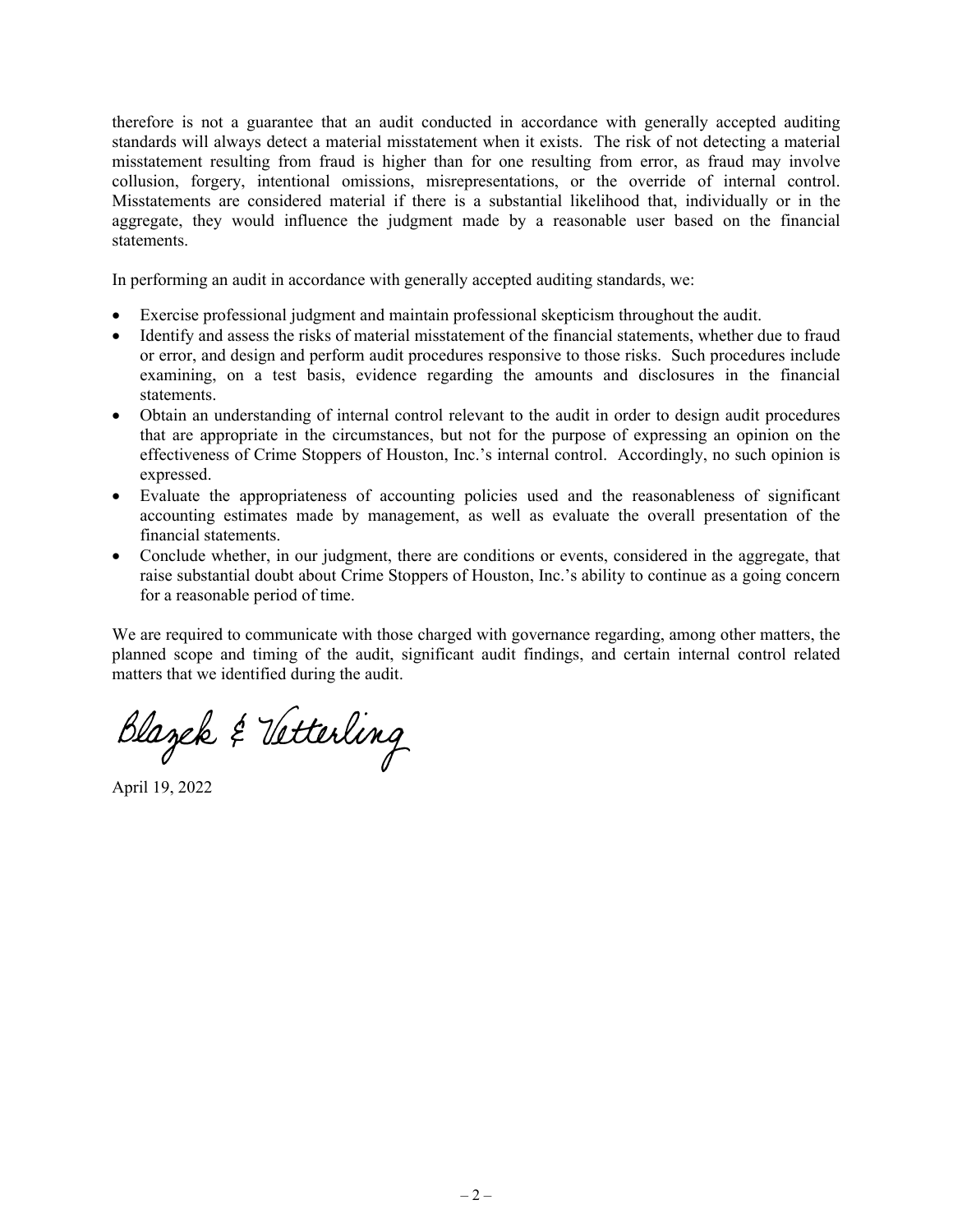therefore is not a guarantee that an audit conducted in accordance with generally accepted auditing standards will always detect a material misstatement when it exists. The risk of not detecting a material misstatement resulting from fraud is higher than for one resulting from error, as fraud may involve collusion, forgery, intentional omissions, misrepresentations, or the override of internal control. Misstatements are considered material if there is a substantial likelihood that, individually or in the aggregate, they would influence the judgment made by a reasonable user based on the financial statements.

In performing an audit in accordance with generally accepted auditing standards, we:

- Exercise professional judgment and maintain professional skepticism throughout the audit.
- Identify and assess the risks of material misstatement of the financial statements, whether due to fraud or error, and design and perform audit procedures responsive to those risks. Such procedures include examining, on a test basis, evidence regarding the amounts and disclosures in the financial statements.
- Obtain an understanding of internal control relevant to the audit in order to design audit procedures that are appropriate in the circumstances, but not for the purpose of expressing an opinion on the effectiveness of Crime Stoppers of Houston, Inc.'s internal control. Accordingly, no such opinion is expressed.
- Evaluate the appropriateness of accounting policies used and the reasonableness of significant accounting estimates made by management, as well as evaluate the overall presentation of the financial statements.
- Conclude whether, in our judgment, there are conditions or events, considered in the aggregate, that raise substantial doubt about Crime Stoppers of Houston, Inc.'s ability to continue as a going concern for a reasonable period of time.

We are required to communicate with those charged with governance regarding, among other matters, the planned scope and timing of the audit, significant audit findings, and certain internal control related matters that we identified during the audit.

Blazek & Vetterling

April 19, 2022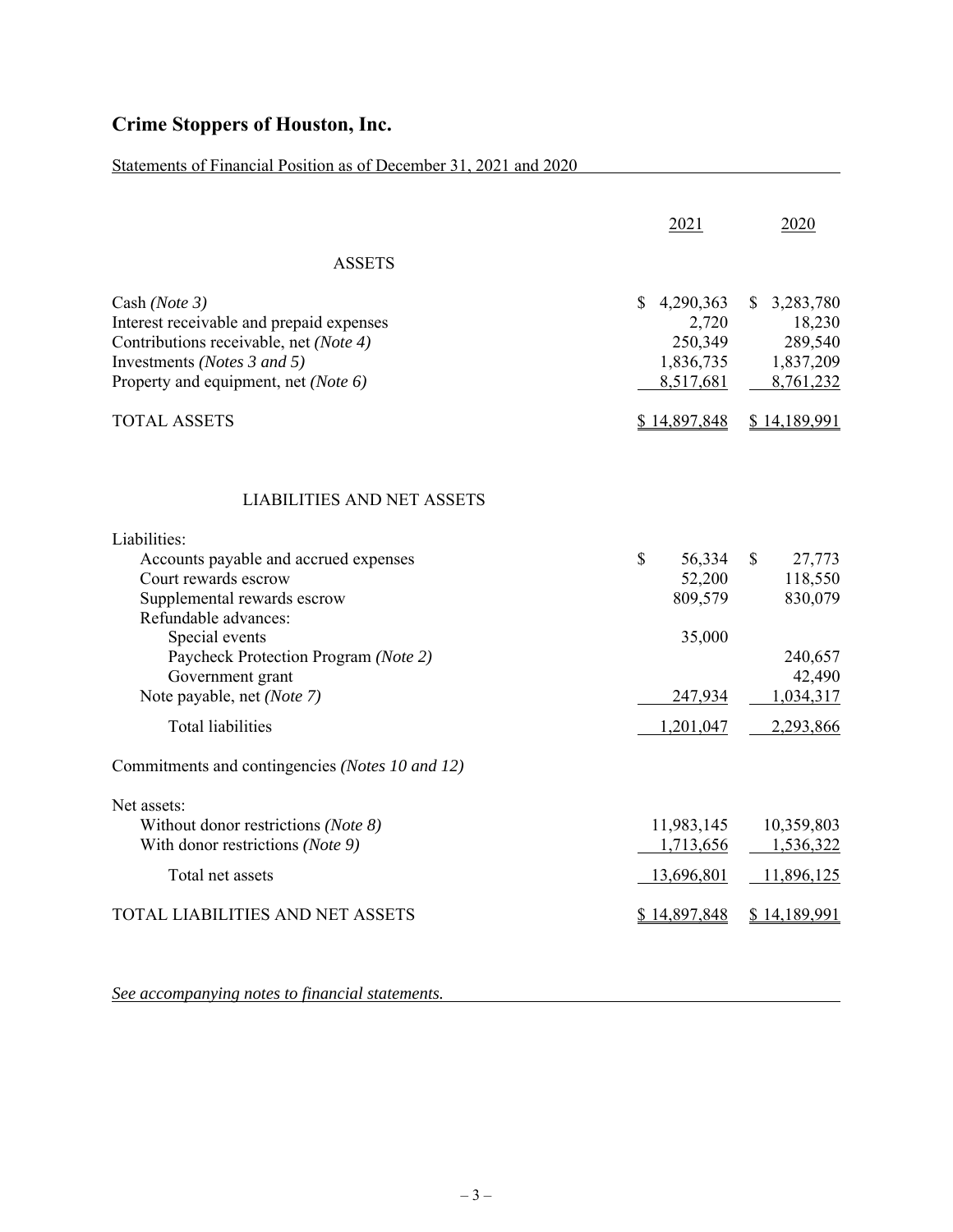## Statements of Financial Position as of December 31, 2021 and 2020

|                                                                                                                                                                                                                                                                              | 2021                                                                | 2020                                                                              |
|------------------------------------------------------------------------------------------------------------------------------------------------------------------------------------------------------------------------------------------------------------------------------|---------------------------------------------------------------------|-----------------------------------------------------------------------------------|
| <b>ASSETS</b>                                                                                                                                                                                                                                                                |                                                                     |                                                                                   |
| Cash (Note 3)<br>Interest receivable and prepaid expenses<br>Contributions receivable, net (Note 4)<br>Investments (Notes 3 and 5)<br>Property and equipment, net (Note 6)                                                                                                   | S.<br>4,290,363<br>2,720<br>250,349<br>1,836,735<br>8,517,681       | 3,283,780<br>S.<br>18,230<br>289,540<br>1,837,209<br>8,761,232                    |
| <b>TOTAL ASSETS</b>                                                                                                                                                                                                                                                          | \$14,897,848                                                        | \$14,189,991                                                                      |
| <b>LIABILITIES AND NET ASSETS</b>                                                                                                                                                                                                                                            |                                                                     |                                                                                   |
| Liabilities:<br>Accounts payable and accrued expenses<br>Court rewards escrow<br>Supplemental rewards escrow<br>Refundable advances:<br>Special events<br>Paycheck Protection Program (Note 2)<br>Government grant<br>Note payable, net (Note 7)<br><b>Total liabilities</b> | \$<br>56,334<br>52,200<br>809,579<br>35,000<br>247,934<br>1,201,047 | \$<br>27,773<br>118,550<br>830,079<br>240,657<br>42,490<br>1,034,317<br>2,293,866 |
| Commitments and contingencies (Notes 10 and 12)                                                                                                                                                                                                                              |                                                                     |                                                                                   |
| Net assets:<br>Without donor restrictions (Note 8)<br>With donor restrictions (Note 9)<br>Total net assets                                                                                                                                                                   | 11,983,145<br>1,713,656<br>13,696,801                               | 10,359,803<br>1,536,322<br>11,896,125                                             |
| TOTAL LIABILITIES AND NET ASSETS                                                                                                                                                                                                                                             | \$14,897,848                                                        | \$14,189,991                                                                      |
|                                                                                                                                                                                                                                                                              |                                                                     |                                                                                   |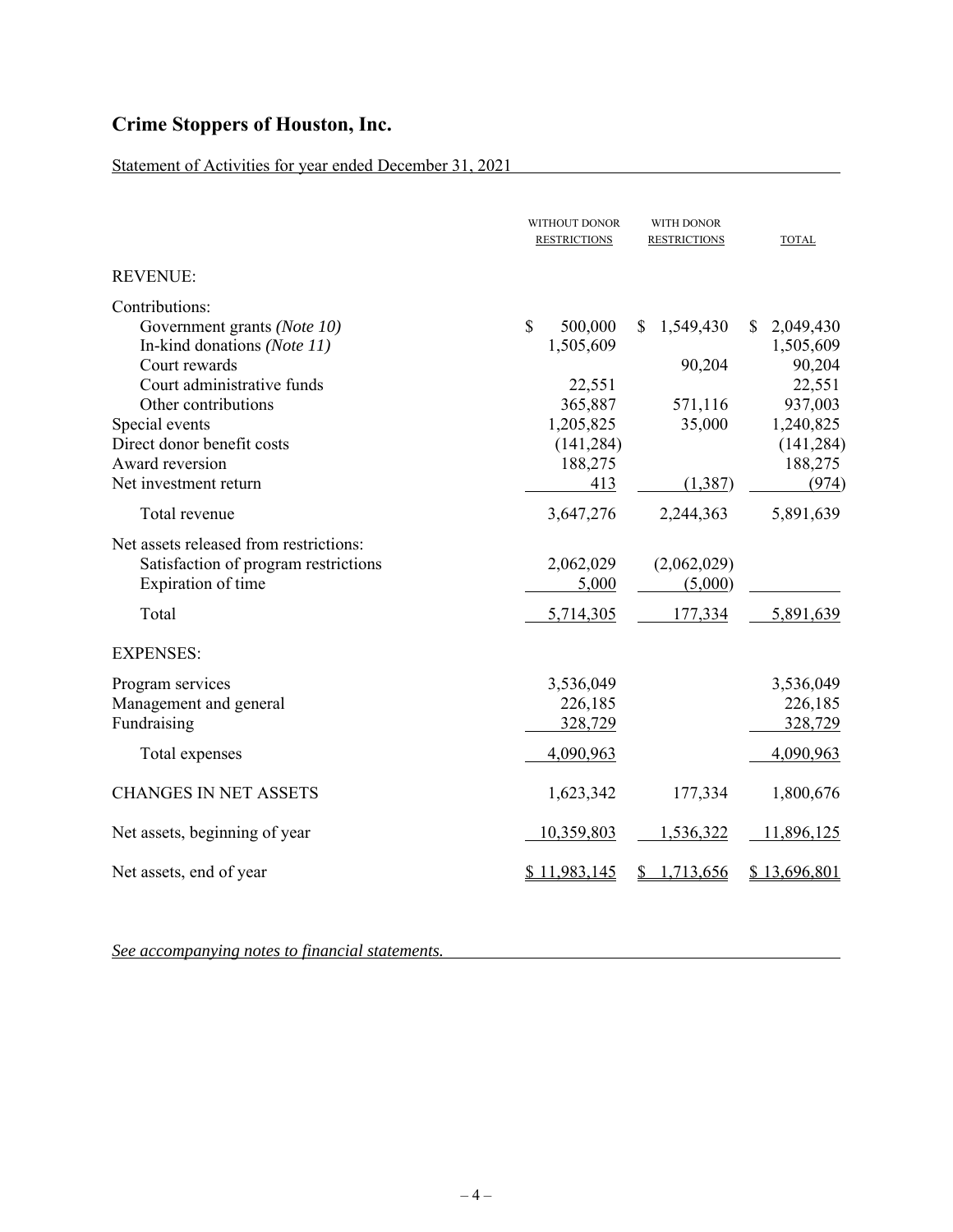## Statement of Activities for year ended December 31, 2021

|                                        | WITHOUT DONOR<br><b>RESTRICTIONS</b> | WITH DONOR<br><b>RESTRICTIONS</b> | <b>TOTAL</b>    |
|----------------------------------------|--------------------------------------|-----------------------------------|-----------------|
| <b>REVENUE:</b>                        |                                      |                                   |                 |
| Contributions:                         |                                      |                                   |                 |
| Government grants (Note 10)            | $\mathbb{S}$<br>500,000              | \$<br>1,549,430                   | \$<br>2,049,430 |
| In-kind donations (Note 11)            | 1,505,609                            |                                   | 1,505,609       |
| Court rewards                          |                                      | 90,204                            | 90,204          |
| Court administrative funds             | 22,551                               |                                   | 22,551          |
| Other contributions                    | 365,887                              | 571,116                           | 937,003         |
| Special events                         | 1,205,825                            | 35,000                            | 1,240,825       |
| Direct donor benefit costs             | (141, 284)                           |                                   | (141, 284)      |
| Award reversion                        | 188,275                              |                                   | 188,275         |
| Net investment return                  | 413                                  | (1,387)                           | (974)           |
| Total revenue                          | 3,647,276                            | 2,244,363                         | 5,891,639       |
| Net assets released from restrictions: |                                      |                                   |                 |
| Satisfaction of program restrictions   | 2,062,029                            | (2,062,029)                       |                 |
| Expiration of time                     | 5,000                                | (5,000)                           |                 |
|                                        |                                      |                                   |                 |
| Total                                  | 5,714,305                            | 177,334                           | 5,891,639       |
| <b>EXPENSES:</b>                       |                                      |                                   |                 |
| Program services                       | 3,536,049                            |                                   | 3,536,049       |
| Management and general                 | 226,185                              |                                   | 226,185         |
| Fundraising                            | 328,729                              |                                   | 328,729         |
| Total expenses                         | 4,090,963                            |                                   | 4,090,963       |
| <b>CHANGES IN NET ASSETS</b>           | 1,623,342                            | 177,334                           | 1,800,676       |
| Net assets, beginning of year          | 10,359,803                           | 1,536,322                         | 11,896,125      |
| Net assets, end of year                | \$11,983,145                         | 1,713,656<br>S                    | \$13,696,801    |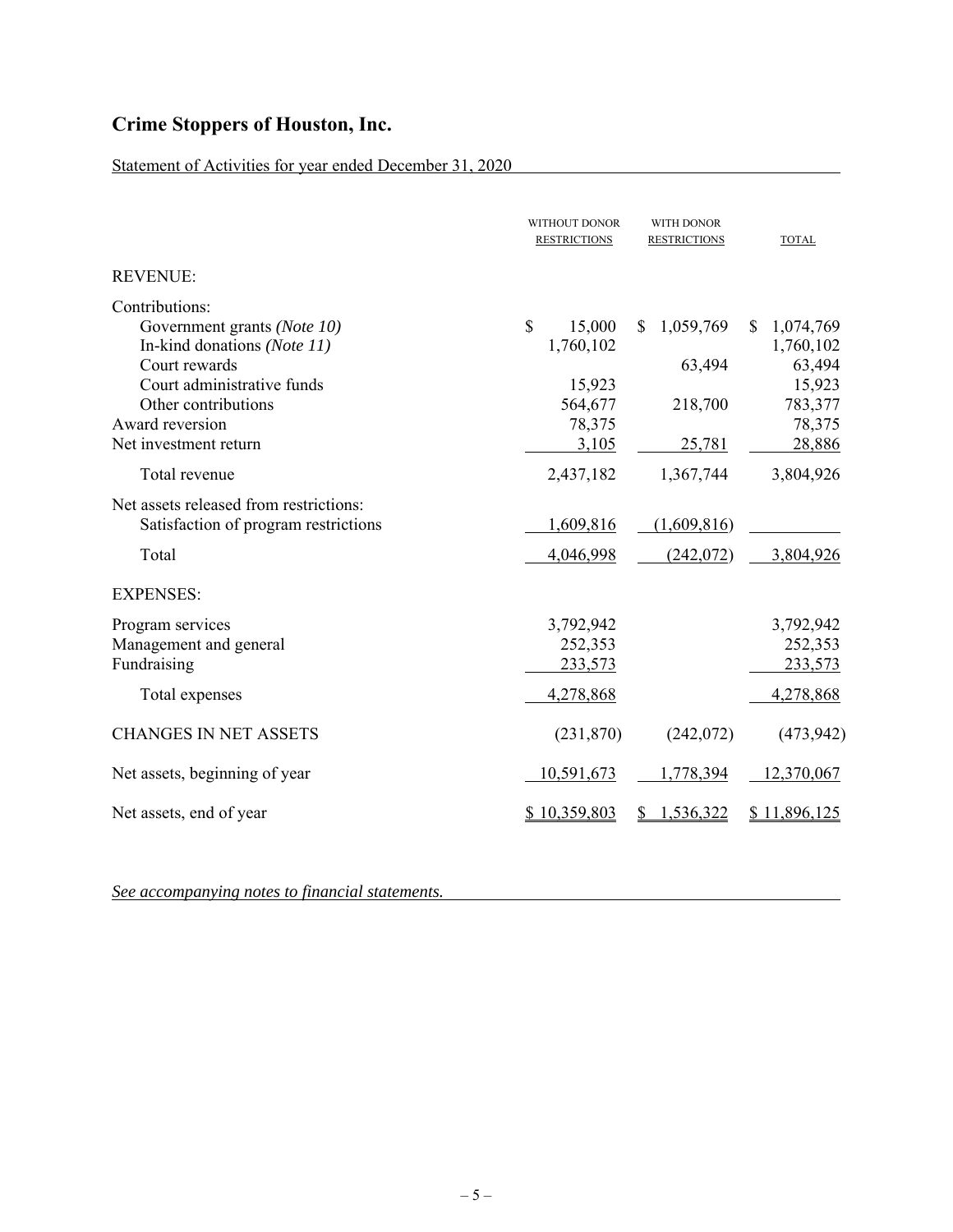## Statement of Activities for year ended December 31, 2020

|                                                                                                                                                                                                | WITHOUT DONOR<br><b>RESTRICTIONS</b>                                         | WITH DONOR<br><b>RESTRICTIONS</b>               | <b>TOTAL</b>                                                                     |
|------------------------------------------------------------------------------------------------------------------------------------------------------------------------------------------------|------------------------------------------------------------------------------|-------------------------------------------------|----------------------------------------------------------------------------------|
| <b>REVENUE:</b>                                                                                                                                                                                |                                                                              |                                                 |                                                                                  |
| Contributions:<br>Government grants (Note 10)<br>In-kind donations (Note 11)<br>Court rewards<br>Court administrative funds<br>Other contributions<br>Award reversion<br>Net investment return | $\mathcal{S}$<br>15,000<br>1,760,102<br>15,923<br>564,677<br>78,375<br>3,105 | 1,059,769<br>\$.<br>63,494<br>218,700<br>25,781 | 1,074,769<br>\$.<br>1,760,102<br>63,494<br>15,923<br>783,377<br>78,375<br>28,886 |
| Total revenue                                                                                                                                                                                  | 2,437,182                                                                    | 1,367,744                                       | 3,804,926                                                                        |
| Net assets released from restrictions:<br>Satisfaction of program restrictions<br>Total                                                                                                        | 1,609,816<br>4,046,998                                                       | (1,609,816)<br>(242,072)                        | 3,804,926                                                                        |
| <b>EXPENSES:</b>                                                                                                                                                                               |                                                                              |                                                 |                                                                                  |
| Program services<br>Management and general<br>Fundraising                                                                                                                                      | 3,792,942<br>252,353<br>233,573                                              |                                                 | 3,792,942<br>252,353<br>233,573                                                  |
| Total expenses                                                                                                                                                                                 | 4,278,868                                                                    |                                                 | 4,278,868                                                                        |
| <b>CHANGES IN NET ASSETS</b>                                                                                                                                                                   | (231,870)                                                                    | (242,072)                                       | (473, 942)                                                                       |
| Net assets, beginning of year                                                                                                                                                                  | 10,591,673                                                                   | 1,778,394                                       | 12,370,067                                                                       |
| Net assets, end of year                                                                                                                                                                        | \$10,359,803                                                                 | 1,536,322<br>S.                                 | \$11,896,125                                                                     |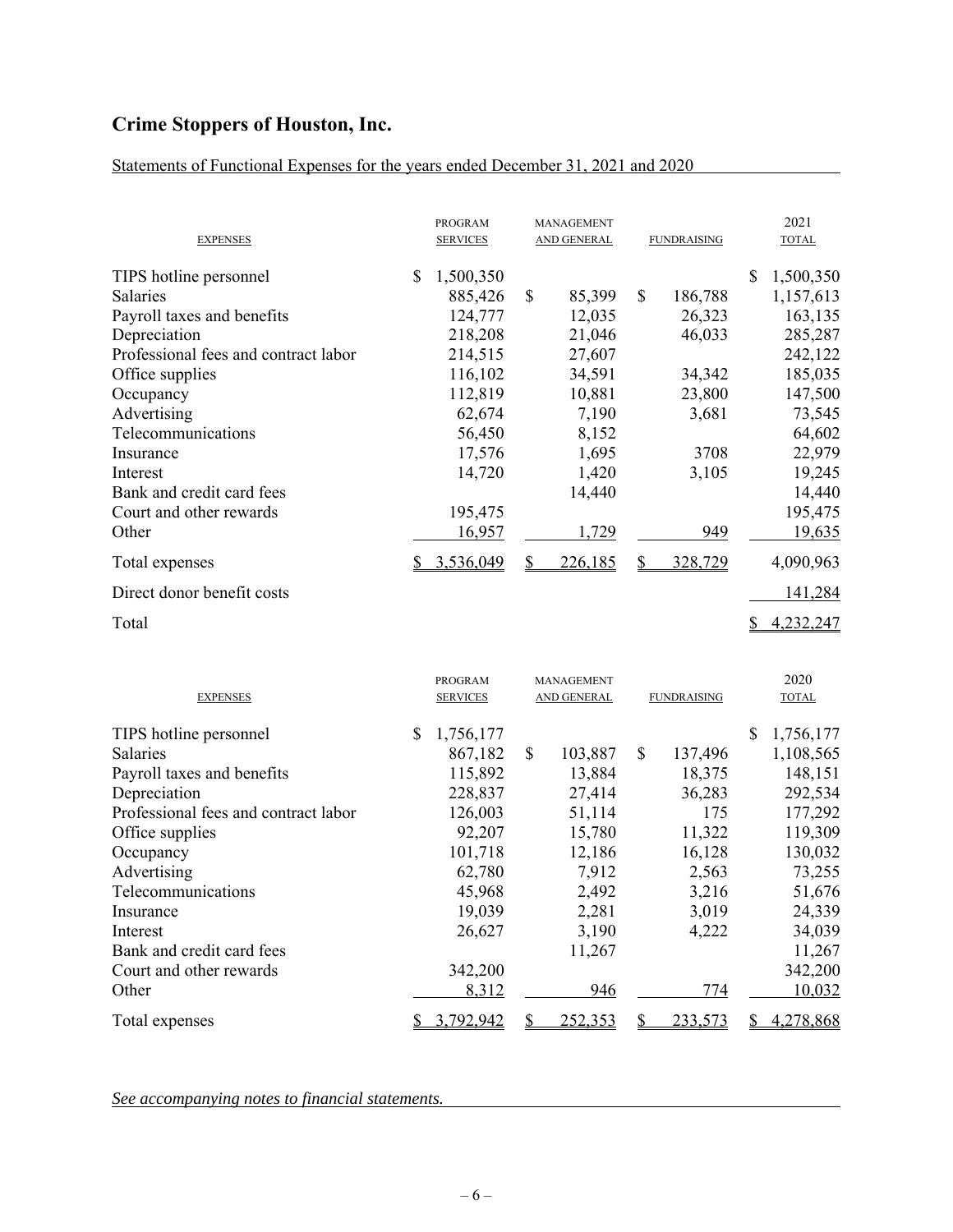## Statements of Functional Expenses for the years ended December 31, 2021 and 2020

| <b>EXPENSES</b>                      | <b>PROGRAM</b><br><b>SERVICES</b> |               | MANAGEMENT<br>AND GENERAL |    | <b>FUNDRAISING</b> | 2021<br><b>TOTAL</b> |
|--------------------------------------|-----------------------------------|---------------|---------------------------|----|--------------------|----------------------|
| TIPS hotline personnel               | \$<br>1,500,350                   |               |                           |    |                    | \$<br>1,500,350      |
| <b>Salaries</b>                      | 885,426                           | $\mathcal{S}$ | 85,399                    | \$ | 186,788            | 1,157,613            |
| Payroll taxes and benefits           | 124,777                           |               | 12,035                    |    | 26,323             | 163,135              |
| Depreciation                         | 218,208                           |               | 21,046                    |    | 46,033             | 285,287              |
| Professional fees and contract labor | 214,515                           |               | 27,607                    |    |                    | 242,122              |
| Office supplies                      | 116,102                           |               | 34,591                    |    | 34,342             | 185,035              |
| Occupancy                            | 112,819                           |               | 10,881                    |    | 23,800             | 147,500              |
| Advertising                          | 62,674                            |               | 7,190                     |    | 3,681              | 73,545               |
| Telecommunications                   | 56,450                            |               | 8,152                     |    |                    | 64,602               |
| Insurance                            | 17,576                            |               | 1,695                     |    | 3708               | 22,979               |
| Interest                             | 14,720                            |               | 1,420                     |    | 3,105              | 19,245               |
| Bank and credit card fees            |                                   |               | 14,440                    |    |                    | 14,440               |
| Court and other rewards              | 195,475                           |               |                           |    |                    | 195,475              |
| Other                                | 16,957                            |               | 1,729                     |    | 949                | 19,635               |
| Total expenses                       | 3,536,049                         | S             | 226,185                   | S  | 328,729            | 4,090,963            |
| Direct donor benefit costs           |                                   |               |                           |    |                    | 141,284              |
| Total                                |                                   |               |                           |    |                    | 4,232,247            |
|                                      | <b>PROGRAM</b>                    |               | <b>MANAGEMENT</b>         |    |                    | 2020                 |
| <b>EXPENSES</b>                      | <b>SERVICES</b>                   |               | AND GENERAL               |    | <b>FUNDRAISING</b> | <b>TOTAL</b>         |

| TIPS hotline personnel               | \$<br>1,756,177 |               |         |     |         | \$<br>1,756,177 |
|--------------------------------------|-----------------|---------------|---------|-----|---------|-----------------|
| <b>Salaries</b>                      | 867,182         | <sup>\$</sup> | 103,887 | \$. | 137,496 | 1,108,565       |
| Payroll taxes and benefits           | 115,892         |               | 13,884  |     | 18,375  | 148,151         |
| Depreciation                         | 228,837         |               | 27,414  |     | 36,283  | 292,534         |
| Professional fees and contract labor | 126,003         |               | 51,114  |     | 175     | 177,292         |
| Office supplies                      | 92,207          |               | 15,780  |     | 11,322  | 119,309         |
| Occupancy                            | 101,718         |               | 12,186  |     | 16,128  | 130,032         |
| Advertising                          | 62,780          |               | 7,912   |     | 2,563   | 73,255          |
| Telecommunications                   | 45,968          |               | 2,492   |     | 3,216   | 51,676          |
| Insurance                            | 19,039          |               | 2,281   |     | 3,019   | 24,339          |
| Interest                             | 26,627          |               | 3,190   |     | 4,222   | 34,039          |
| Bank and credit card fees            |                 |               | 11,267  |     |         | 11,267          |
| Court and other rewards              | 342,200         |               |         |     |         | 342,200         |
| Other                                | 8,312           |               | 946     |     | 774     | 10,032          |
| Total expenses                       | 3,792,942       |               | 252,353 |     | 233,573 | 4,278,868       |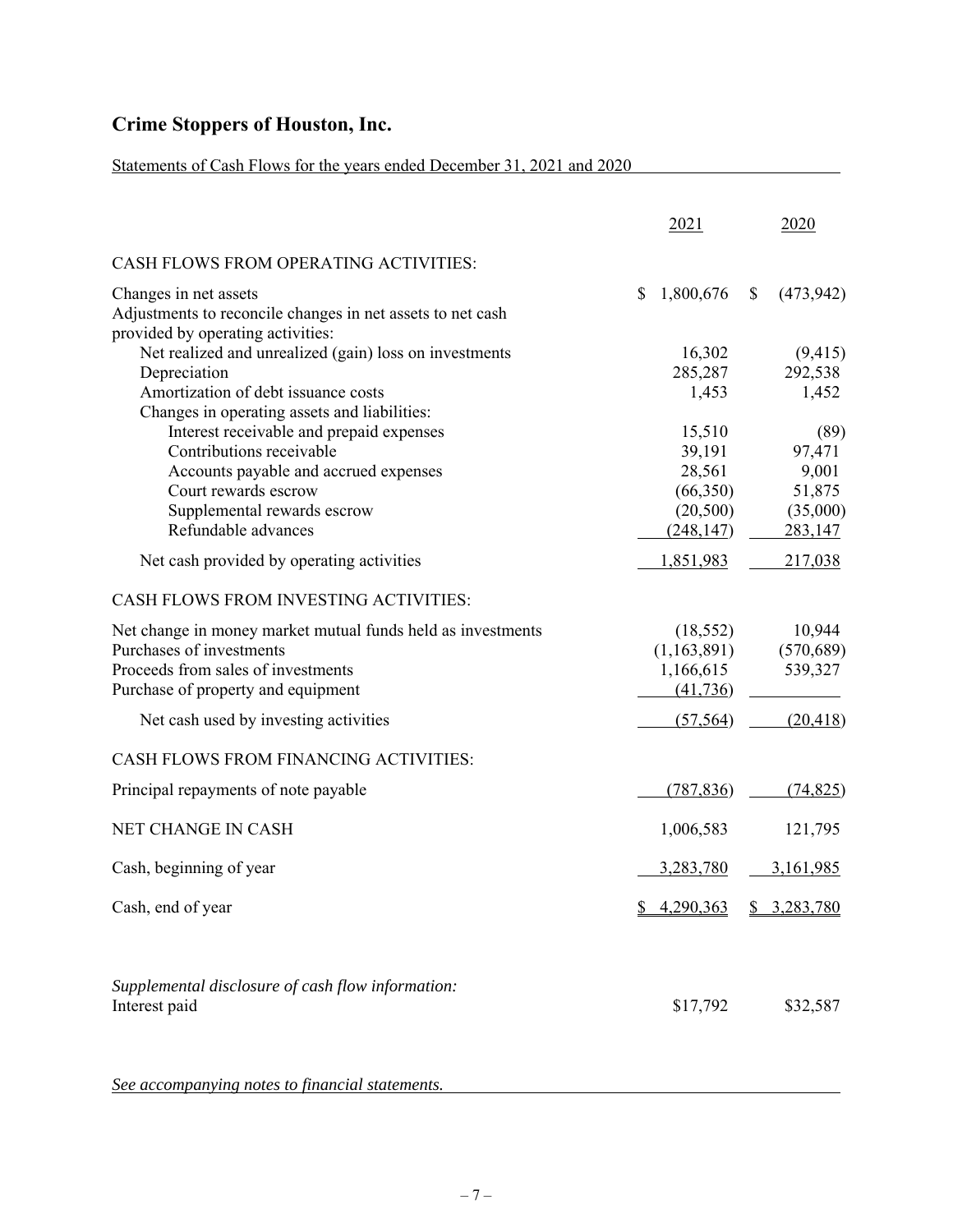## Statements of Cash Flows for the years ended December 31, 2021 and 2020

|                                                                                                                                                                      | 2021                                               |              | 2020                                          |
|----------------------------------------------------------------------------------------------------------------------------------------------------------------------|----------------------------------------------------|--------------|-----------------------------------------------|
| CASH FLOWS FROM OPERATING ACTIVITIES:                                                                                                                                |                                                    |              |                                               |
| Changes in net assets<br>Adjustments to reconcile changes in net assets to net cash<br>provided by operating activities:                                             | \$<br>1,800,676                                    | <sup>S</sup> | (473, 942)                                    |
| Net realized and unrealized (gain) loss on investments<br>Depreciation<br>Amortization of debt issuance costs<br>Changes in operating assets and liabilities:        | 16,302<br>285,287<br>1,453                         |              | (9, 415)<br>292,538<br>1,452                  |
| Interest receivable and prepaid expenses<br>Contributions receivable<br>Accounts payable and accrued expenses<br>Court rewards escrow<br>Supplemental rewards escrow | 15,510<br>39,191<br>28,561<br>(66,350)<br>(20,500) |              | (89)<br>97,471<br>9,001<br>51,875<br>(35,000) |
| Refundable advances                                                                                                                                                  | (248, 147)                                         |              | 283,147                                       |
| Net cash provided by operating activities                                                                                                                            | 1,851,983                                          |              | 217,038                                       |
| CASH FLOWS FROM INVESTING ACTIVITIES:                                                                                                                                |                                                    |              |                                               |
| Net change in money market mutual funds held as investments<br>Purchases of investments<br>Proceeds from sales of investments<br>Purchase of property and equipment  | (18, 552)<br>(1,163,891)<br>1,166,615<br>(41, 736) |              | 10,944<br>(570, 689)<br>539,327               |
| Net cash used by investing activities                                                                                                                                | (57, 564)                                          |              | (20, 418)                                     |
| <b>CASH FLOWS FROM FINANCING ACTIVITIES:</b>                                                                                                                         |                                                    |              |                                               |
| Principal repayments of note payable                                                                                                                                 | (787, 836)                                         |              | (74, 825)                                     |
| NET CHANGE IN CASH                                                                                                                                                   | 1,006,583                                          |              | 121,795                                       |
| Cash, beginning of year                                                                                                                                              | 3,283,780                                          |              | 3,161,985                                     |
| Cash, end of year                                                                                                                                                    | \$4,290,363                                        |              | \$ 3,283,780                                  |
| Supplemental disclosure of cash flow information:<br>Interest paid                                                                                                   | \$17,792                                           |              | \$32,587                                      |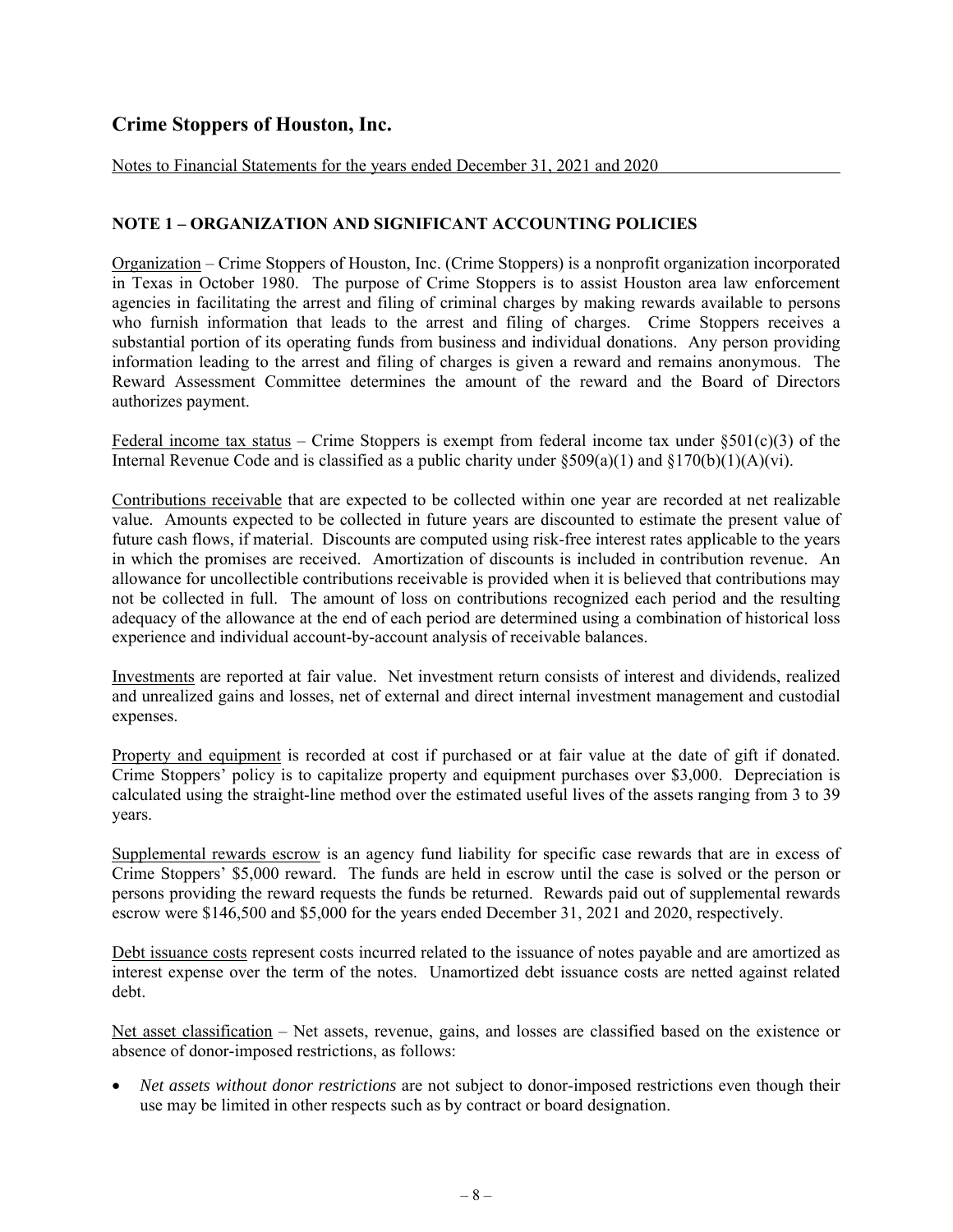#### Notes to Financial Statements for the years ended December 31, 2021 and 2020

### **NOTE 1 – ORGANIZATION AND SIGNIFICANT ACCOUNTING POLICIES**

Organization – Crime Stoppers of Houston, Inc. (Crime Stoppers) is a nonprofit organization incorporated in Texas in October 1980. The purpose of Crime Stoppers is to assist Houston area law enforcement agencies in facilitating the arrest and filing of criminal charges by making rewards available to persons who furnish information that leads to the arrest and filing of charges. Crime Stoppers receives a substantial portion of its operating funds from business and individual donations. Any person providing information leading to the arrest and filing of charges is given a reward and remains anonymous. The Reward Assessment Committee determines the amount of the reward and the Board of Directors authorizes payment.

Federal income tax status – Crime Stoppers is exempt from federal income tax under  $\S501(c)(3)$  of the Internal Revenue Code and is classified as a public charity under  $\S509(a)(1)$  and  $\S170(b)(1)(A)(vi)$ .

Contributions receivable that are expected to be collected within one year are recorded at net realizable value. Amounts expected to be collected in future years are discounted to estimate the present value of future cash flows, if material. Discounts are computed using risk-free interest rates applicable to the years in which the promises are received. Amortization of discounts is included in contribution revenue. An allowance for uncollectible contributions receivable is provided when it is believed that contributions may not be collected in full. The amount of loss on contributions recognized each period and the resulting adequacy of the allowance at the end of each period are determined using a combination of historical loss experience and individual account-by-account analysis of receivable balances.

Investments are reported at fair value. Net investment return consists of interest and dividends, realized and unrealized gains and losses, net of external and direct internal investment management and custodial expenses.

Property and equipment is recorded at cost if purchased or at fair value at the date of gift if donated. Crime Stoppers' policy is to capitalize property and equipment purchases over \$3,000. Depreciation is calculated using the straight-line method over the estimated useful lives of the assets ranging from 3 to 39 years.

Supplemental rewards escrow is an agency fund liability for specific case rewards that are in excess of Crime Stoppers' \$5,000 reward. The funds are held in escrow until the case is solved or the person or persons providing the reward requests the funds be returned. Rewards paid out of supplemental rewards escrow were \$146,500 and \$5,000 for the years ended December 31, 2021 and 2020, respectively.

Debt issuance costs represent costs incurred related to the issuance of notes payable and are amortized as interest expense over the term of the notes. Unamortized debt issuance costs are netted against related debt.

Net asset classification – Net assets, revenue, gains, and losses are classified based on the existence or absence of donor-imposed restrictions, as follows:

 *Net assets without donor restrictions* are not subject to donor-imposed restrictions even though their use may be limited in other respects such as by contract or board designation.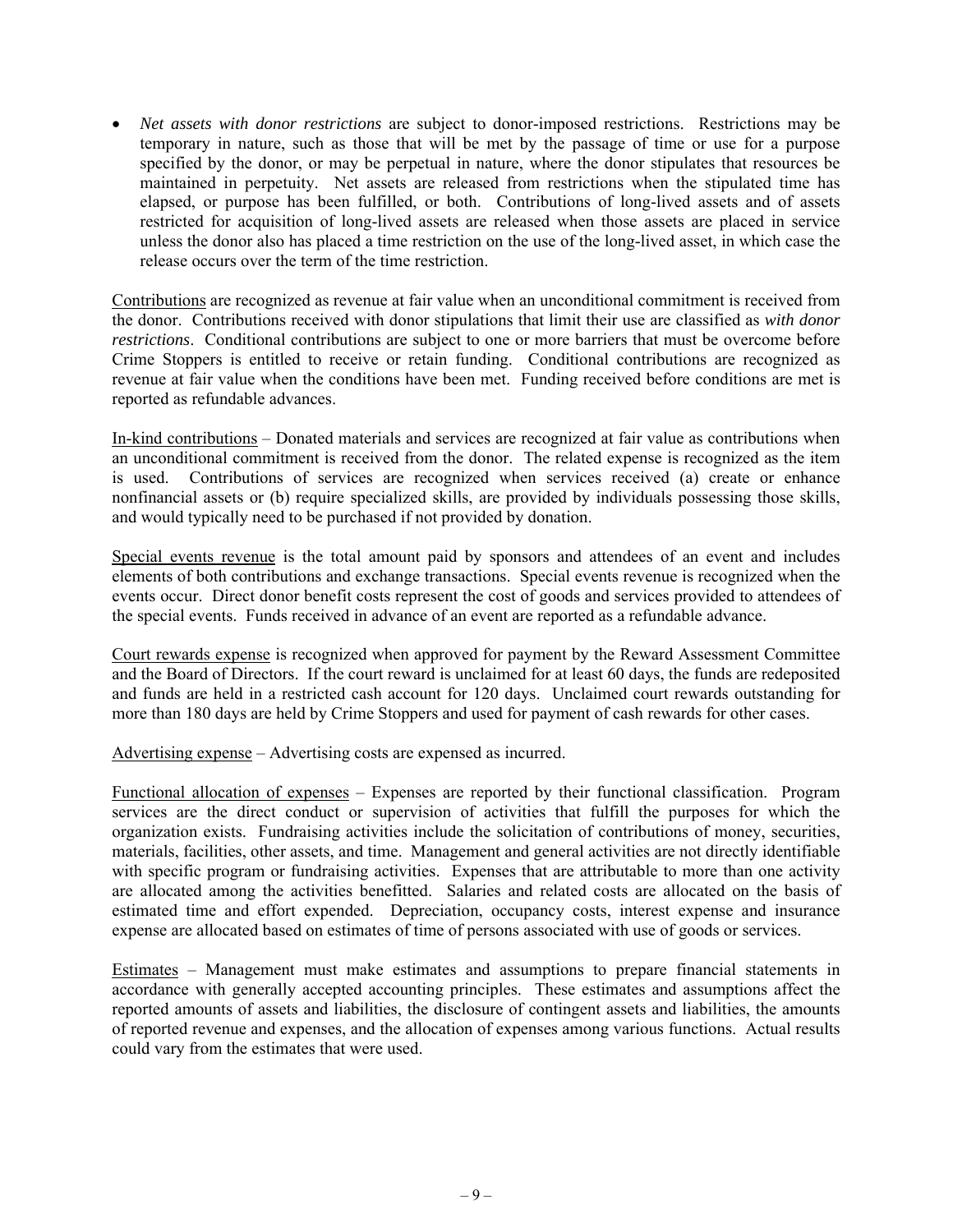*Net assets with donor restrictions* are subject to donor-imposed restrictions. Restrictions may be temporary in nature, such as those that will be met by the passage of time or use for a purpose specified by the donor, or may be perpetual in nature, where the donor stipulates that resources be maintained in perpetuity. Net assets are released from restrictions when the stipulated time has elapsed, or purpose has been fulfilled, or both. Contributions of long-lived assets and of assets restricted for acquisition of long-lived assets are released when those assets are placed in service unless the donor also has placed a time restriction on the use of the long-lived asset, in which case the release occurs over the term of the time restriction.

Contributions are recognized as revenue at fair value when an unconditional commitment is received from the donor. Contributions received with donor stipulations that limit their use are classified as *with donor restrictions*. Conditional contributions are subject to one or more barriers that must be overcome before Crime Stoppers is entitled to receive or retain funding. Conditional contributions are recognized as revenue at fair value when the conditions have been met. Funding received before conditions are met is reported as refundable advances.

In-kind contributions – Donated materials and services are recognized at fair value as contributions when an unconditional commitment is received from the donor. The related expense is recognized as the item is used. Contributions of services are recognized when services received (a) create or enhance nonfinancial assets or (b) require specialized skills, are provided by individuals possessing those skills, and would typically need to be purchased if not provided by donation.

Special events revenue is the total amount paid by sponsors and attendees of an event and includes elements of both contributions and exchange transactions. Special events revenue is recognized when the events occur. Direct donor benefit costs represent the cost of goods and services provided to attendees of the special events. Funds received in advance of an event are reported as a refundable advance.

Court rewards expense is recognized when approved for payment by the Reward Assessment Committee and the Board of Directors. If the court reward is unclaimed for at least 60 days, the funds are redeposited and funds are held in a restricted cash account for 120 days. Unclaimed court rewards outstanding for more than 180 days are held by Crime Stoppers and used for payment of cash rewards for other cases.

Advertising expense – Advertising costs are expensed as incurred.

Functional allocation of expenses – Expenses are reported by their functional classification. Program services are the direct conduct or supervision of activities that fulfill the purposes for which the organization exists. Fundraising activities include the solicitation of contributions of money, securities, materials, facilities, other assets, and time. Management and general activities are not directly identifiable with specific program or fundraising activities. Expenses that are attributable to more than one activity are allocated among the activities benefitted. Salaries and related costs are allocated on the basis of estimated time and effort expended. Depreciation, occupancy costs, interest expense and insurance expense are allocated based on estimates of time of persons associated with use of goods or services.

Estimates – Management must make estimates and assumptions to prepare financial statements in accordance with generally accepted accounting principles. These estimates and assumptions affect the reported amounts of assets and liabilities, the disclosure of contingent assets and liabilities, the amounts of reported revenue and expenses, and the allocation of expenses among various functions. Actual results could vary from the estimates that were used.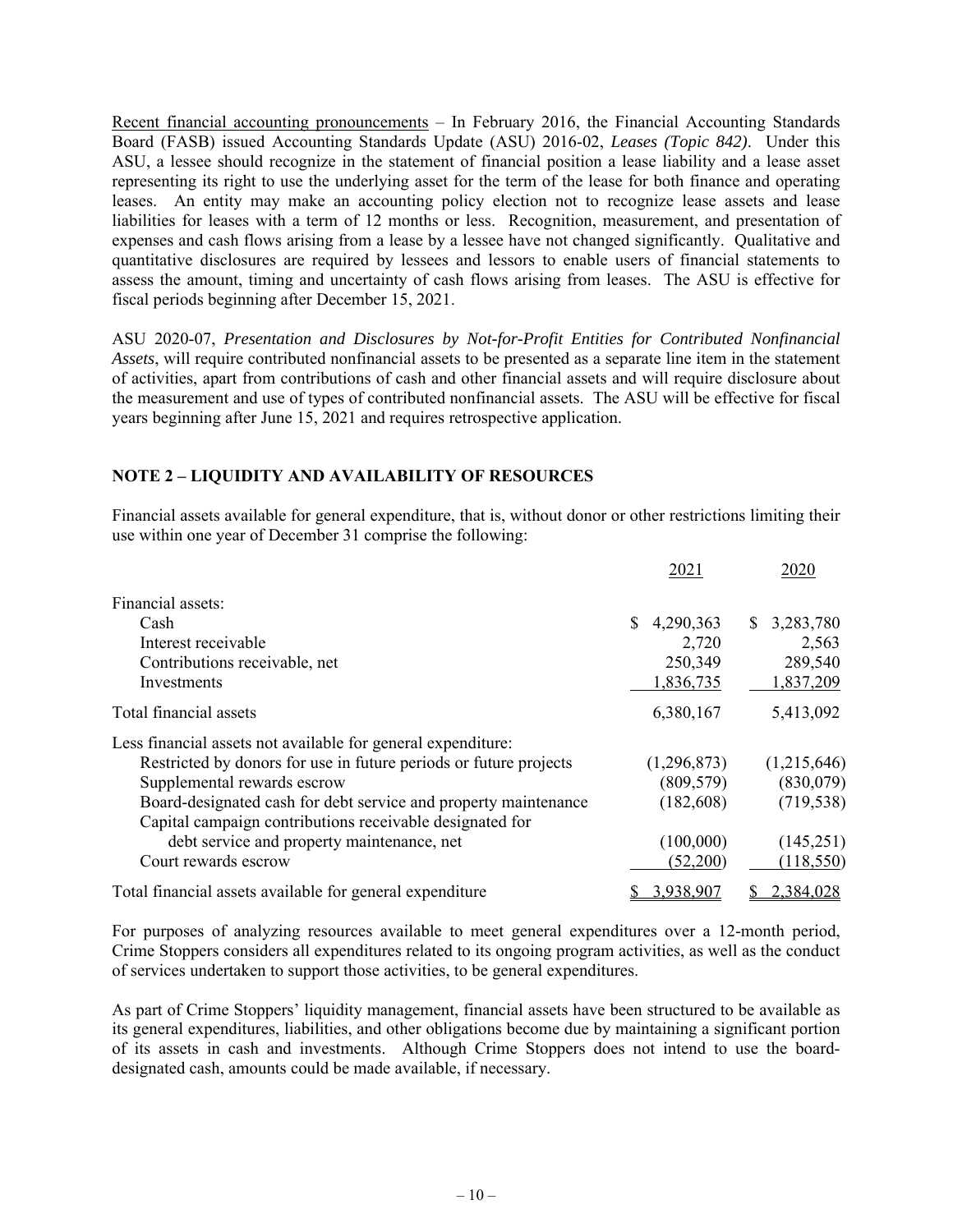Recent financial accounting pronouncements – In February 2016, the Financial Accounting Standards Board (FASB) issued Accounting Standards Update (ASU) 2016-02, *Leases (Topic 842)*. Under this ASU, a lessee should recognize in the statement of financial position a lease liability and a lease asset representing its right to use the underlying asset for the term of the lease for both finance and operating leases. An entity may make an accounting policy election not to recognize lease assets and lease liabilities for leases with a term of 12 months or less. Recognition, measurement, and presentation of expenses and cash flows arising from a lease by a lessee have not changed significantly. Qualitative and quantitative disclosures are required by lessees and lessors to enable users of financial statements to assess the amount, timing and uncertainty of cash flows arising from leases. The ASU is effective for fiscal periods beginning after December 15, 2021.

ASU 2020-07, *Presentation and Disclosures by Not-for-Profit Entities for Contributed Nonfinancial Assets*, will require contributed nonfinancial assets to be presented as a separate line item in the statement of activities, apart from contributions of cash and other financial assets and will require disclosure about the measurement and use of types of contributed nonfinancial assets. The ASU will be effective for fiscal years beginning after June 15, 2021 and requires retrospective application.

## **NOTE 2 – LIQUIDITY AND AVAILABILITY OF RESOURCES**

Financial assets available for general expenditure, that is, without donor or other restrictions limiting their use within one year of December 31 comprise the following:

|                                                                   | 2021        | 2020            |
|-------------------------------------------------------------------|-------------|-----------------|
| Financial assets:                                                 |             |                 |
| Cash                                                              | 4,290,363   | 3,283,780<br>S. |
| Interest receivable                                               | 2,720       | 2,563           |
| Contributions receivable, net                                     | 250,349     | 289,540         |
| Investments                                                       | 1,836,735   | 1,837,209       |
| Total financial assets                                            | 6,380,167   | 5,413,092       |
| Less financial assets not available for general expenditure:      |             |                 |
| Restricted by donors for use in future periods or future projects | (1,296,873) | (1,215,646)     |
| Supplemental rewards escrow                                       | (809, 579)  | (830,079)       |
| Board-designated cash for debt service and property maintenance   | (182,608)   | (719, 538)      |
| Capital campaign contributions receivable designated for          |             |                 |
| debt service and property maintenance, net                        | (100,000)   | (145,251)       |
| Court rewards escrow                                              | (52,200)    | (118, 550)      |
| Total financial assets available for general expenditure          | 3,938,907   | 2,384,028       |

For purposes of analyzing resources available to meet general expenditures over a 12-month period, Crime Stoppers considers all expenditures related to its ongoing program activities, as well as the conduct of services undertaken to support those activities, to be general expenditures.

As part of Crime Stoppers' liquidity management, financial assets have been structured to be available as its general expenditures, liabilities, and other obligations become due by maintaining a significant portion of its assets in cash and investments. Although Crime Stoppers does not intend to use the boarddesignated cash, amounts could be made available, if necessary.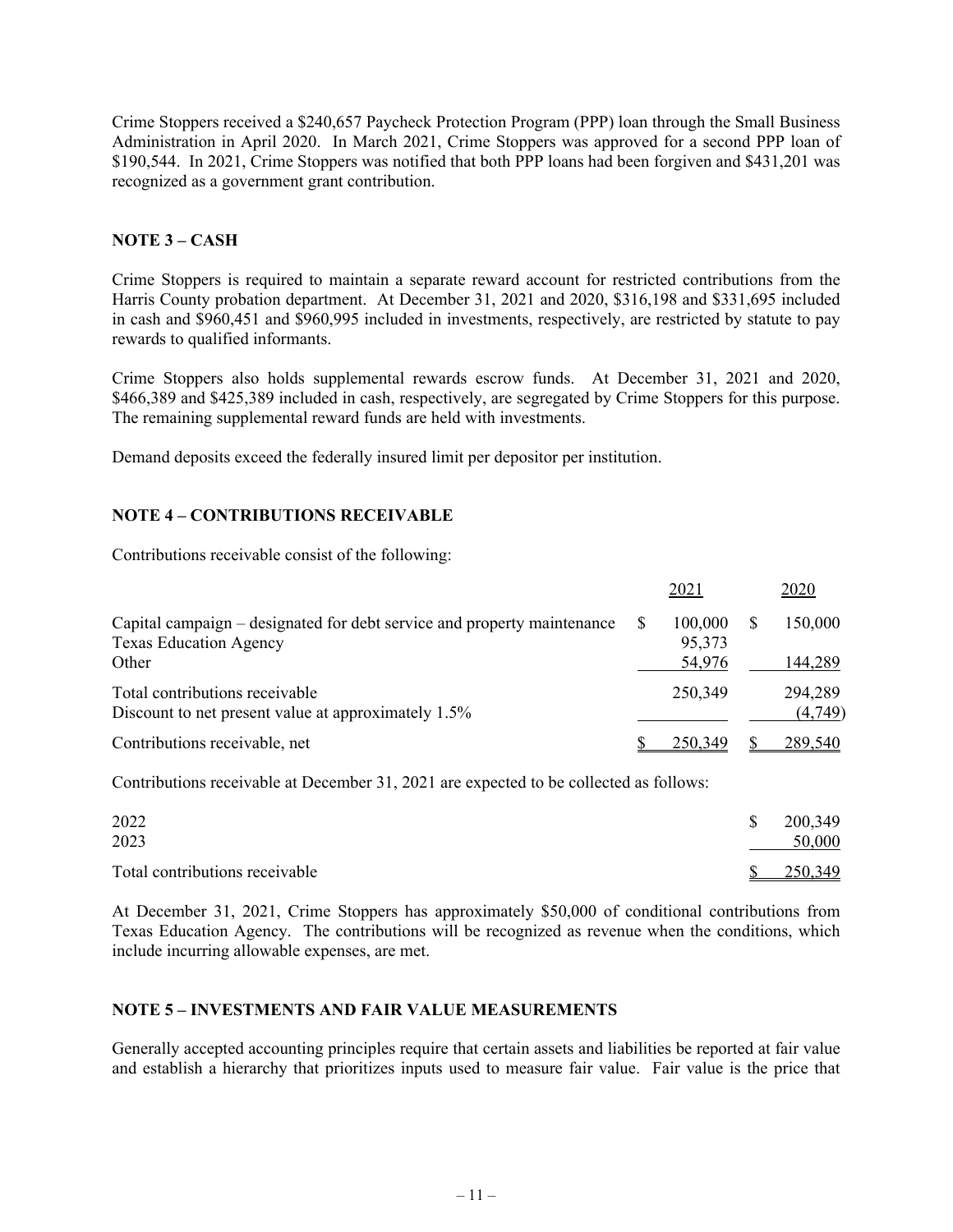Crime Stoppers received a \$240,657 Paycheck Protection Program (PPP) loan through the Small Business Administration in April 2020. In March 2021, Crime Stoppers was approved for a second PPP loan of \$190,544. In 2021, Crime Stoppers was notified that both PPP loans had been forgiven and \$431,201 was recognized as a government grant contribution.

## **NOTE 3 – CASH**

Crime Stoppers is required to maintain a separate reward account for restricted contributions from the Harris County probation department. At December 31, 2021 and 2020, \$316,198 and \$331,695 included in cash and \$960,451 and \$960,995 included in investments, respectively, are restricted by statute to pay rewards to qualified informants.

Crime Stoppers also holds supplemental rewards escrow funds. At December 31, 2021 and 2020, \$466,389 and \$425,389 included in cash, respectively, are segregated by Crime Stoppers for this purpose. The remaining supplemental reward funds are held with investments.

Demand deposits exceed the federally insured limit per depositor per institution.

### **NOTE 4 – CONTRIBUTIONS RECEIVABLE**

Contributions receivable consist of the following:

|                                                                                                          | 2021              | 2020               |
|----------------------------------------------------------------------------------------------------------|-------------------|--------------------|
| Capital campaign – designated for debt service and property maintenance<br><b>Texas Education Agency</b> | 100,000<br>95,373 | 150,000            |
| Other                                                                                                    | 54,976            | 144,289            |
| Total contributions receivable<br>Discount to net present value at approximately 1.5%                    | 250,349           | 294,289<br>(4,749) |
| Contributions receivable, net                                                                            | 250,349           | 289,540            |

Contributions receivable at December 31, 2021 are expected to be collected as follows:

| 2022<br>2023                   | <sup>S</sup> | 200,349<br>50,000 |
|--------------------------------|--------------|-------------------|
| Total contributions receivable | <sup>S</sup> | 250,349           |

At December 31, 2021, Crime Stoppers has approximately \$50,000 of conditional contributions from Texas Education Agency. The contributions will be recognized as revenue when the conditions, which include incurring allowable expenses, are met.

## **NOTE 5 – INVESTMENTS AND FAIR VALUE MEASUREMENTS**

Generally accepted accounting principles require that certain assets and liabilities be reported at fair value and establish a hierarchy that prioritizes inputs used to measure fair value. Fair value is the price that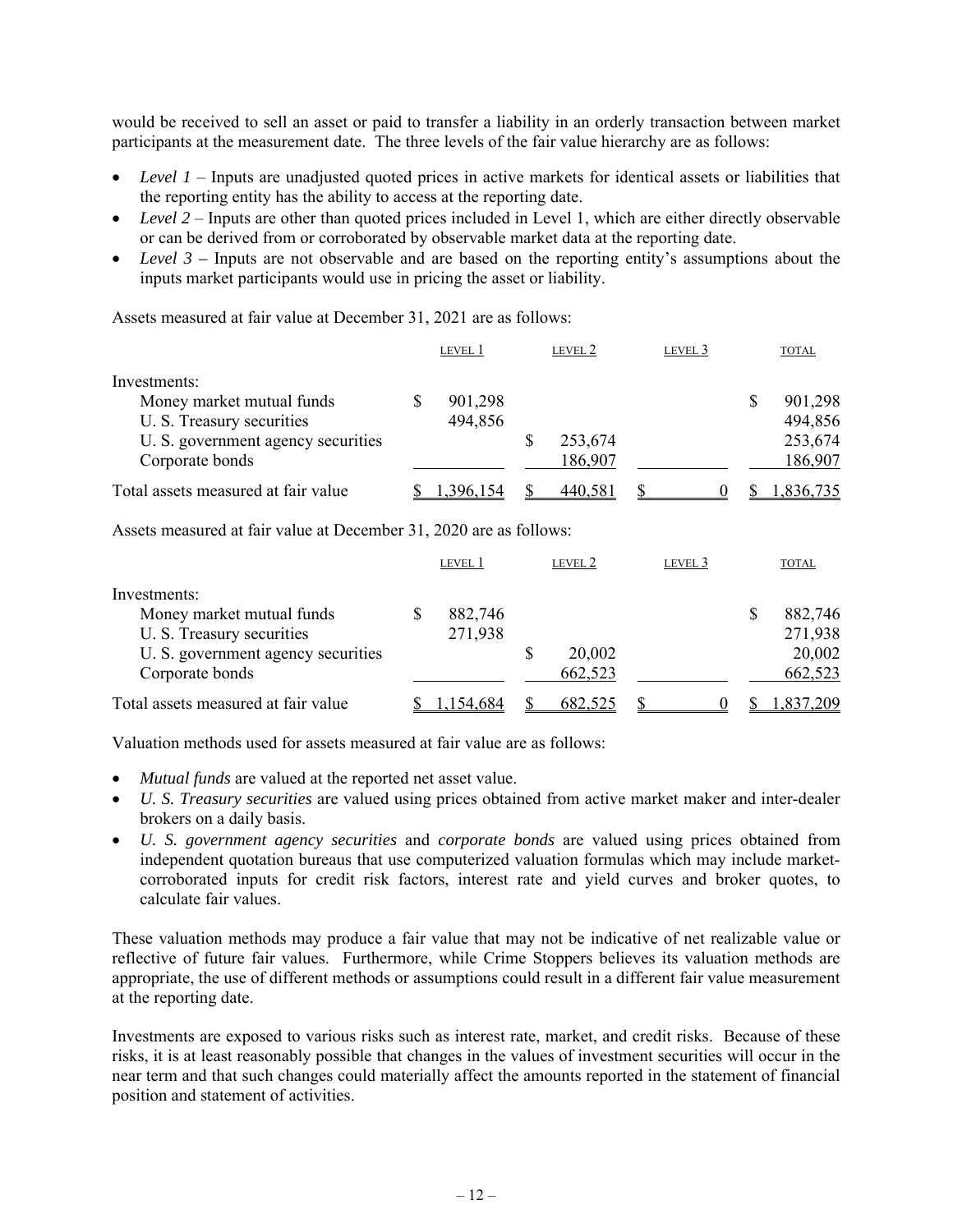would be received to sell an asset or paid to transfer a liability in an orderly transaction between market participants at the measurement date. The three levels of the fair value hierarchy are as follows:

- *Level 1* Inputs are unadjusted quoted prices in active markets for identical assets or liabilities that the reporting entity has the ability to access at the reporting date.
- Level 2 Inputs are other than quoted prices included in Level 1, which are either directly observable or can be derived from or corroborated by observable market data at the reporting date.
- *Level 3* Inputs are not observable and are based on the reporting entity's assumptions about the inputs market participants would use in pricing the asset or liability.

Assets measured at fair value at December 31, 2021 are as follows:

|                                     | level 1   |   | LEVEL 2 | LEVEL <sub>3</sub> | <b>TOTAL</b> |
|-------------------------------------|-----------|---|---------|--------------------|--------------|
| Investments:                        |           |   |         |                    |              |
| Money market mutual funds           | 901,298   |   |         |                    | 901,298      |
| U. S. Treasury securities           | 494,856   |   |         |                    | 494,856      |
| U. S. government agency securities  |           | S | 253,674 |                    | 253,674      |
| Corporate bonds                     |           |   | 186,907 |                    | 186,907      |
| Total assets measured at fair value | 1.396.154 |   | 440.581 |                    | 1.836.735    |

Assets measured at fair value at December 31, 2020 are as follows:

|                                     | LEVEL 1   | LEVEL 2 | LEVEL 3 | <b>TOTAL</b> |
|-------------------------------------|-----------|---------|---------|--------------|
| Investments:                        |           |         |         |              |
| Money market mutual funds           | 882,746   |         |         | 882,746      |
| U. S. Treasury securities           | 271,938   |         |         | 271,938      |
| U. S. government agency securities  |           | 20,002  |         | 20,002       |
| Corporate bonds                     |           | 662,523 |         | 662,523      |
| Total assets measured at fair value | !,154,684 | 682,525 |         | 1,837,209    |

Valuation methods used for assets measured at fair value are as follows:

- *Mutual funds* are valued at the reported net asset value.
- *U. S. Treasury securities* are valued using prices obtained from active market maker and inter-dealer brokers on a daily basis.
- *U. S. government agency securities* and *corporate bonds* are valued using prices obtained from independent quotation bureaus that use computerized valuation formulas which may include marketcorroborated inputs for credit risk factors, interest rate and yield curves and broker quotes, to calculate fair values.

These valuation methods may produce a fair value that may not be indicative of net realizable value or reflective of future fair values. Furthermore, while Crime Stoppers believes its valuation methods are appropriate, the use of different methods or assumptions could result in a different fair value measurement at the reporting date.

Investments are exposed to various risks such as interest rate, market, and credit risks. Because of these risks, it is at least reasonably possible that changes in the values of investment securities will occur in the near term and that such changes could materially affect the amounts reported in the statement of financial position and statement of activities.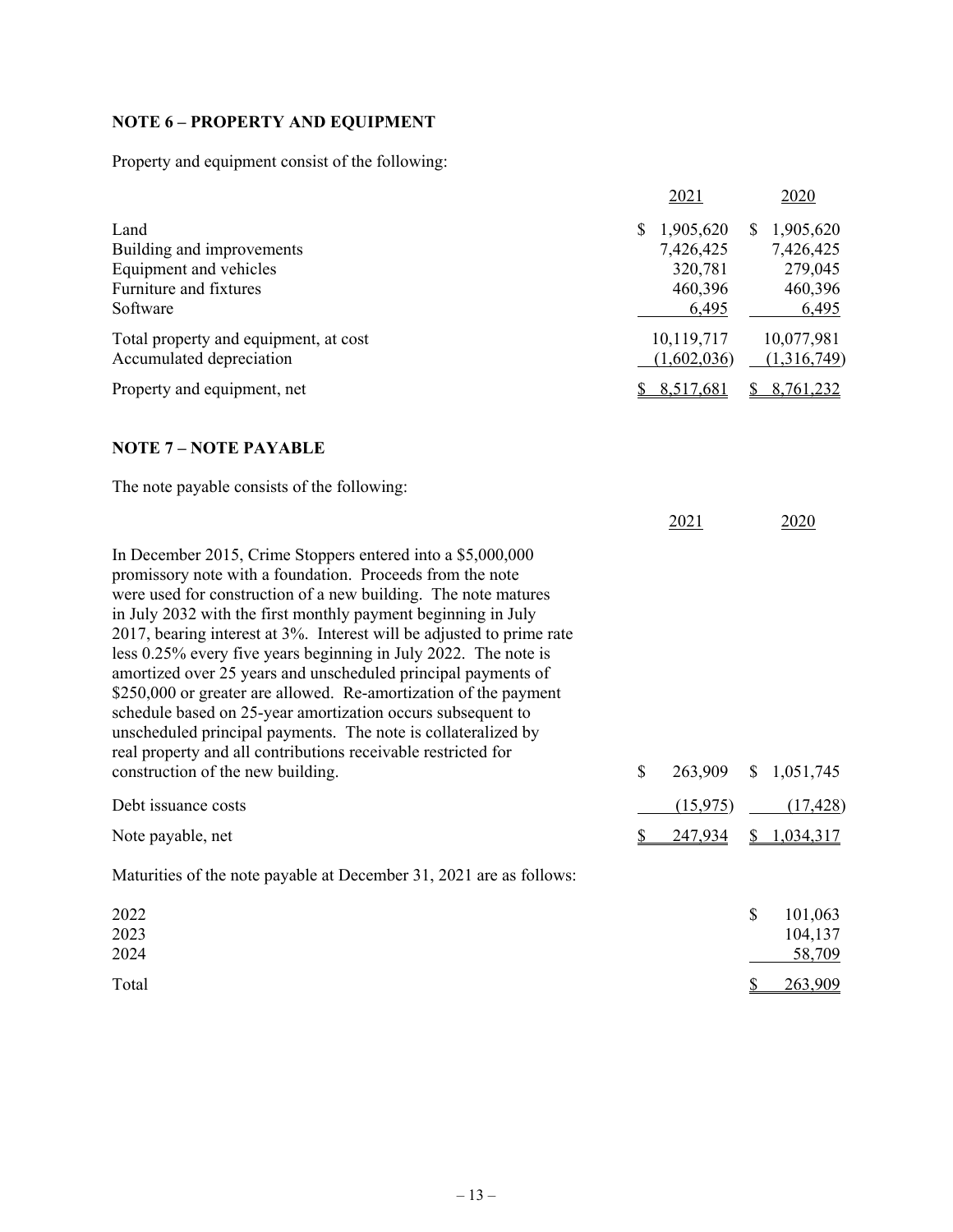## **NOTE 6 – PROPERTY AND EQUIPMENT**

Property and equipment consist of the following:

|                                       | 2021            | 2020            |
|---------------------------------------|-----------------|-----------------|
| Land                                  | 1,905,620<br>\$ | 1,905,620<br>S. |
| Building and improvements             | 7,426,425       | 7,426,425       |
| Equipment and vehicles                | 320,781         | 279,045         |
| Furniture and fixtures                | 460,396         | 460,396         |
| Software                              | 6,495           | 6,495           |
| Total property and equipment, at cost | 10,119,717      | 10,077,981      |
| Accumulated depreciation              | (1,602,036)     | (1,316,749)     |
| Property and equipment, net           | 8,517,681       | 8,761,232       |

## **NOTE 7 – NOTE PAYABLE**

The note payable consists of the following:

|                                                                                                                                                                                                                                                                                                                                                                                                                                                                                                                                                                                                                                                                                                                                                                                    | 2021          |    | 2020                         |
|------------------------------------------------------------------------------------------------------------------------------------------------------------------------------------------------------------------------------------------------------------------------------------------------------------------------------------------------------------------------------------------------------------------------------------------------------------------------------------------------------------------------------------------------------------------------------------------------------------------------------------------------------------------------------------------------------------------------------------------------------------------------------------|---------------|----|------------------------------|
| In December 2015, Crime Stoppers entered into a \$5,000,000<br>promissory note with a foundation. Proceeds from the note<br>were used for construction of a new building. The note matures<br>in July 2032 with the first monthly payment beginning in July<br>2017, bearing interest at 3%. Interest will be adjusted to prime rate<br>less 0.25% every five years beginning in July 2022. The note is<br>amortized over 25 years and unscheduled principal payments of<br>\$250,000 or greater are allowed. Re-amortization of the payment<br>schedule based on 25-year amortization occurs subsequent to<br>unscheduled principal payments. The note is collateralized by<br>real property and all contributions receivable restricted for<br>construction of the new building. | \$<br>263,909 | S. | 1,051,745                    |
| Debt issuance costs                                                                                                                                                                                                                                                                                                                                                                                                                                                                                                                                                                                                                                                                                                                                                                | (15,975)      |    | (17, 428)                    |
| Note payable, net                                                                                                                                                                                                                                                                                                                                                                                                                                                                                                                                                                                                                                                                                                                                                                  | 247,934       |    | 1,034,317                    |
| Maturities of the note payable at December 31, 2021 are as follows:                                                                                                                                                                                                                                                                                                                                                                                                                                                                                                                                                                                                                                                                                                                |               |    |                              |
| 2022<br>2023<br>2024                                                                                                                                                                                                                                                                                                                                                                                                                                                                                                                                                                                                                                                                                                                                                               |               | \$ | 101,063<br>104,137<br>58,709 |

| ∠∪∠⊤  | 70,707         |
|-------|----------------|
| Total | 263,909<br>\$. |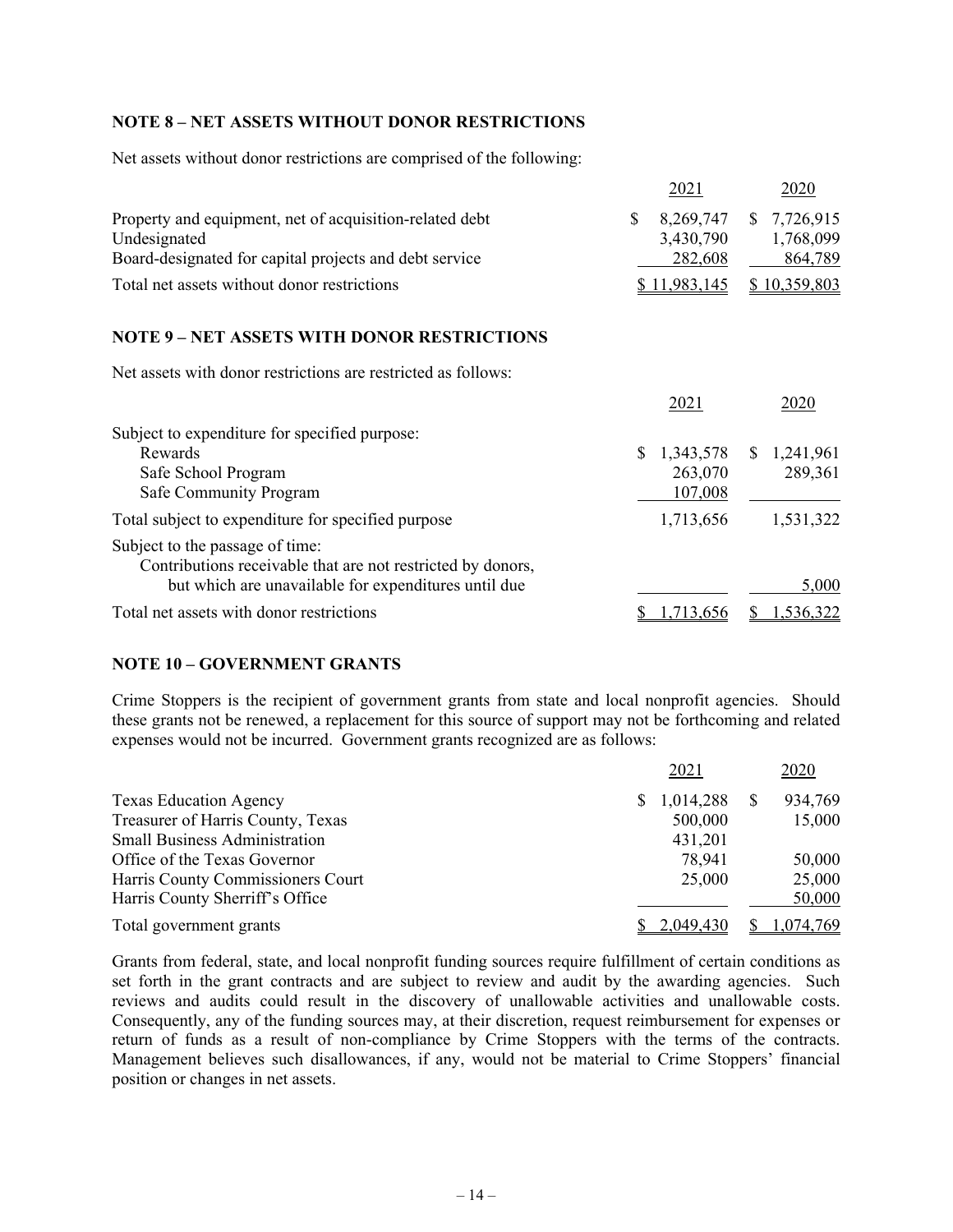### **NOTE 8 – NET ASSETS WITHOUT DONOR RESTRICTIONS**

Net assets without donor restrictions are comprised of the following:

|                                                                                                                                                        | 2021                                    | 2020                                              |
|--------------------------------------------------------------------------------------------------------------------------------------------------------|-----------------------------------------|---------------------------------------------------|
| Property and equipment, net of acquisition-related debt<br>Undesignated<br>Board-designated for capital projects and debt service                      | \$<br>8,269,747<br>3,430,790<br>282,608 | 7,726,915<br>$\mathbb{S}$<br>1,768,099<br>864,789 |
| Total net assets without donor restrictions                                                                                                            | \$11,983,145                            | \$10,359,803                                      |
| <b>NOTE 9 - NET ASSETS WITH DONOR RESTRICTIONS</b>                                                                                                     |                                         |                                                   |
| Net assets with donor restrictions are restricted as follows:                                                                                          |                                         |                                                   |
|                                                                                                                                                        | <u>2021</u>                             | 2020                                              |
| Subject to expenditure for specified purpose:<br>Rewards<br>Safe School Program<br>Safe Community Program                                              | \$<br>1,343,578<br>263,070<br>107,008   | 1,241,961<br><sup>\$</sup><br>289,361             |
| Total subject to expenditure for specified purpose                                                                                                     | 1,713,656                               | 1,531,322                                         |
| Subject to the passage of time:<br>Contributions receivable that are not restricted by donors,<br>but which are unavailable for expenditures until due |                                         | 5,000                                             |
| Total net assets with donor restrictions                                                                                                               | ,713,656                                | 1,536,322                                         |

### **NOTE 10 – GOVERNMENT GRANTS**

Crime Stoppers is the recipient of government grants from state and local nonprofit agencies. Should these grants not be renewed, a replacement for this source of support may not be forthcoming and related expenses would not be incurred. Government grants recognized are as follows:

|                                      | 2021      | 2020      |
|--------------------------------------|-----------|-----------|
| <b>Texas Education Agency</b>        | 1,014,288 | 934,769   |
| Treasurer of Harris County, Texas    | 500,000   | 15,000    |
| <b>Small Business Administration</b> | 431,201   |           |
| Office of the Texas Governor         | 78,941    | 50,000    |
| Harris County Commissioners Court    | 25,000    | 25,000    |
| Harris County Sherriff's Office      |           | 50,000    |
| Total government grants              | 2,049,430 | 1,074,769 |

Grants from federal, state, and local nonprofit funding sources require fulfillment of certain conditions as set forth in the grant contracts and are subject to review and audit by the awarding agencies. Such reviews and audits could result in the discovery of unallowable activities and unallowable costs. Consequently, any of the funding sources may, at their discretion, request reimbursement for expenses or return of funds as a result of non-compliance by Crime Stoppers with the terms of the contracts. Management believes such disallowances, if any, would not be material to Crime Stoppers' financial position or changes in net assets.